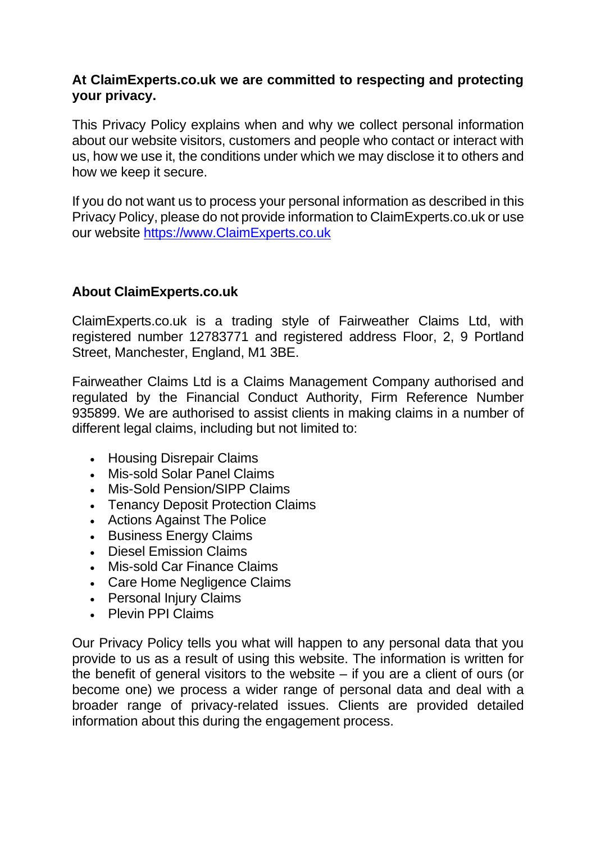## **At ClaimExperts.co.uk we are committed to respecting and protecting your privacy.**

This Privacy Policy explains when and why we collect personal information about our website visitors, customers and people who contact or interact with us, how we use it, the conditions under which we may disclose it to others and how we keep it secure.

If you do not want us to process your personal information as described in this Privacy Policy, please do not provide information to ClaimExperts.co.uk or use our website [https://www.ClaimExperts.co.uk](https://www.claimexperts.co.uk/)

# **About ClaimExperts.co.uk**

ClaimExperts.co.uk is a trading style of Fairweather Claims Ltd, with registered number 12783771 and registered address Floor, 2, 9 Portland Street, Manchester, England, M1 3BE.

Fairweather Claims Ltd is a Claims Management Company authorised and regulated by the Financial Conduct Authority, Firm Reference Number 935899. We are authorised to assist clients in making claims in a number of different legal claims, including but not limited to:

- Housing Disrepair Claims
- Mis-sold Solar Panel Claims
- Mis-Sold Pension/SIPP Claims
- Tenancy Deposit Protection Claims
- Actions Against The Police
- Business Energy Claims
- Diesel Emission Claims
- Mis-sold Car Finance Claims
- Care Home Negligence Claims
- Personal Injury Claims
- Plevin PPI Claims

Our Privacy Policy tells you what will happen to any personal data that you provide to us as a result of using this website. The information is written for the benefit of general visitors to the website – if you are a client of ours (or become one) we process a wider range of personal data and deal with a broader range of privacy-related issues. Clients are provided detailed information about this during the engagement process.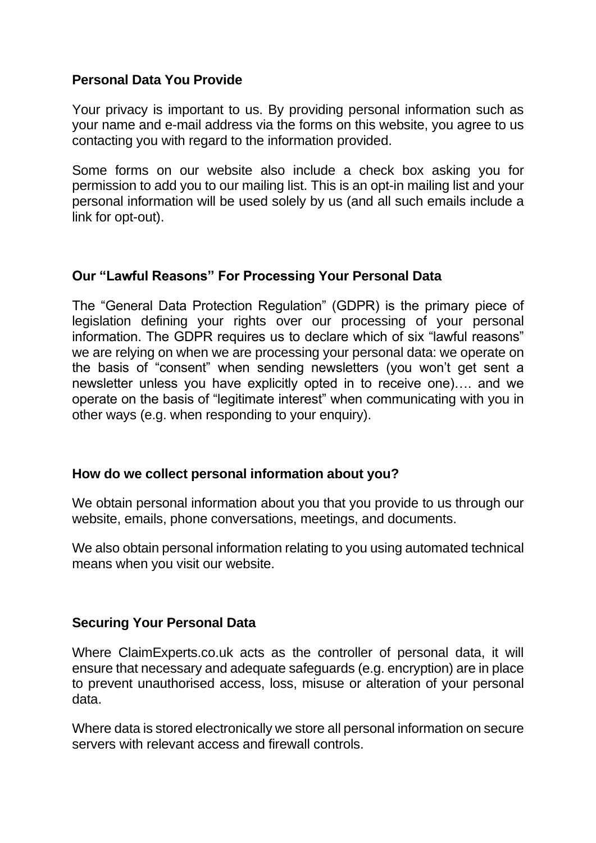# **Personal Data You Provide**

Your privacy is important to us. By providing personal information such as your name and e-mail address via the forms on this website, you agree to us contacting you with regard to the information provided.

Some forms on our website also include a check box asking you for permission to add you to our mailing list. This is an opt-in mailing list and your personal information will be used solely by us (and all such emails include a link for opt-out).

# **Our "Lawful Reasons" For Processing Your Personal Data**

The "General Data Protection Regulation" (GDPR) is the primary piece of legislation defining your rights over our processing of your personal information. The GDPR requires us to declare which of six "lawful reasons" we are relying on when we are processing your personal data: we operate on the basis of "consent" when sending newsletters (you won't get sent a newsletter unless you have explicitly opted in to receive one)…. and we operate on the basis of "legitimate interest" when communicating with you in other ways (e.g. when responding to your enquiry).

## **How do we collect personal information about you?**

We obtain personal information about you that you provide to us through our website, emails, phone conversations, meetings, and documents.

We also obtain personal information relating to you using automated technical means when you visit our website.

## **Securing Your Personal Data**

Where ClaimExperts.co.uk acts as the controller of personal data, it will ensure that necessary and adequate safeguards (e.g. encryption) are in place to prevent unauthorised access, loss, misuse or alteration of your personal data.

Where data is stored electronically we store all personal information on secure servers with relevant access and firewall controls.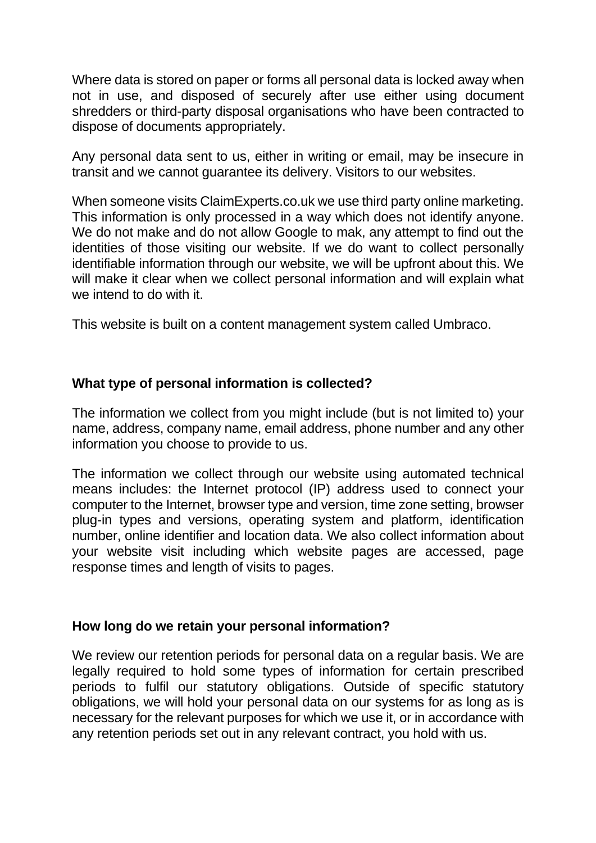Where data is stored on paper or forms all personal data is locked away when not in use, and disposed of securely after use either using document shredders or third-party disposal organisations who have been contracted to dispose of documents appropriately.

Any personal data sent to us, either in writing or email, may be insecure in transit and we cannot guarantee its delivery. Visitors to our websites.

When someone visits ClaimExperts.co.uk we use third party online marketing. This information is only processed in a way which does not identify anyone. We do not make and do not allow Google to mak, any attempt to find out the identities of those visiting our website. If we do want to collect personally identifiable information through our website, we will be upfront about this. We will make it clear when we collect personal information and will explain what we intend to do with it.

This website is built on a content management system called Umbraco.

## **What type of personal information is collected?**

The information we collect from you might include (but is not limited to) your name, address, company name, email address, phone number and any other information you choose to provide to us.

The information we collect through our website using automated technical means includes: the Internet protocol (IP) address used to connect your computer to the Internet, browser type and version, time zone setting, browser plug-in types and versions, operating system and platform, identification number, online identifier and location data. We also collect information about your website visit including which website pages are accessed, page response times and length of visits to pages.

## **How long do we retain your personal information?**

We review our retention periods for personal data on a regular basis. We are legally required to hold some types of information for certain prescribed periods to fulfil our statutory obligations. Outside of specific statutory obligations, we will hold your personal data on our systems for as long as is necessary for the relevant purposes for which we use it, or in accordance with any retention periods set out in any relevant contract, you hold with us.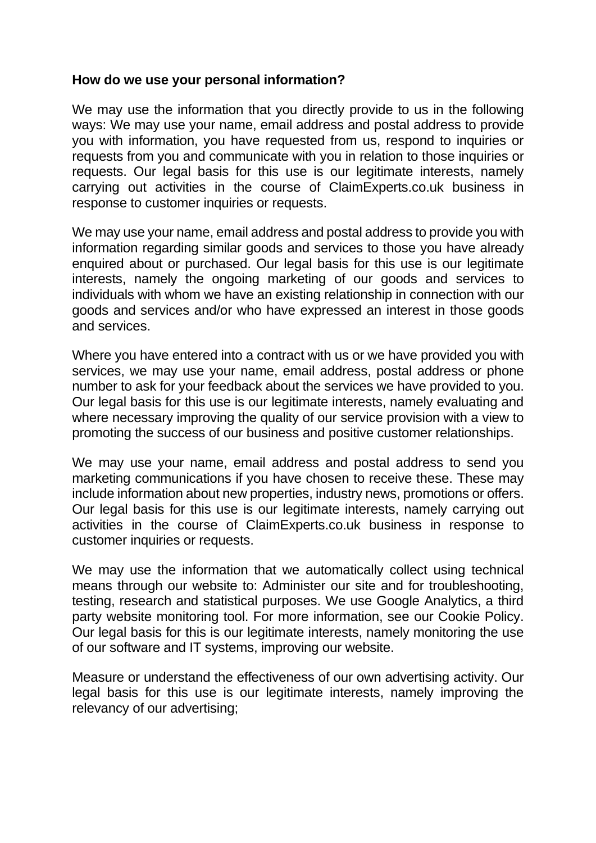#### **How do we use your personal information?**

We may use the information that you directly provide to us in the following ways: We may use your name, email address and postal address to provide you with information, you have requested from us, respond to inquiries or requests from you and communicate with you in relation to those inquiries or requests. Our legal basis for this use is our legitimate interests, namely carrying out activities in the course of ClaimExperts.co.uk business in response to customer inquiries or requests.

We may use your name, email address and postal address to provide you with information regarding similar goods and services to those you have already enquired about or purchased. Our legal basis for this use is our legitimate interests, namely the ongoing marketing of our goods and services to individuals with whom we have an existing relationship in connection with our goods and services and/or who have expressed an interest in those goods and services.

Where you have entered into a contract with us or we have provided you with services, we may use your name, email address, postal address or phone number to ask for your feedback about the services we have provided to you. Our legal basis for this use is our legitimate interests, namely evaluating and where necessary improving the quality of our service provision with a view to promoting the success of our business and positive customer relationships.

We may use your name, email address and postal address to send you marketing communications if you have chosen to receive these. These may include information about new properties, industry news, promotions or offers. Our legal basis for this use is our legitimate interests, namely carrying out activities in the course of ClaimExperts.co.uk business in response to customer inquiries or requests.

We may use the information that we automatically collect using technical means through our website to: Administer our site and for troubleshooting, testing, research and statistical purposes. We use Google Analytics, a third party website monitoring tool. For more information, see our Cookie Policy. Our legal basis for this is our legitimate interests, namely monitoring the use of our software and IT systems, improving our website.

Measure or understand the effectiveness of our own advertising activity. Our legal basis for this use is our legitimate interests, namely improving the relevancy of our advertising;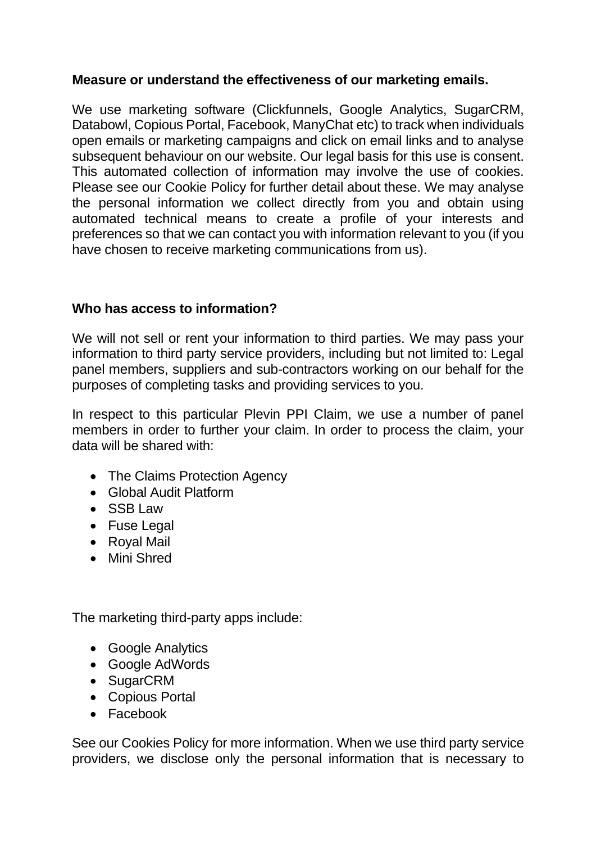## **Measure or understand the effectiveness of our marketing emails.**

We use marketing software (Clickfunnels, Google Analytics, SugarCRM, Databowl, Copious Portal, Facebook, ManyChat etc) to track when individuals open emails or marketing campaigns and click on email links and to analyse subsequent behaviour on our website. Our legal basis for this use is consent. This automated collection of information may involve the use of cookies. Please see our Cookie Policy for further detail about these. We may analyse the personal information we collect directly from you and obtain using automated technical means to create a profile of your interests and preferences so that we can contact you with information relevant to you (if you have chosen to receive marketing communications from us).

# **Who has access to information?**

We will not sell or rent your information to third parties. We may pass your information to third party service providers, including but not limited to: Legal panel members, suppliers and sub-contractors working on our behalf for the purposes of completing tasks and providing services to you.

In respect to this particular Plevin PPI Claim, we use a number of panel members in order to further your claim. In order to process the claim, your data will be shared with:

- The Claims Protection Agency
- Global Audit Platform
- SSB Law
- Fuse Legal
- Royal Mail
- Mini Shred

The marketing third-party apps include:

- Google Analytics
- Google AdWords
- SugarCRM
- Copious Portal
- Facebook

See our Cookies Policy for more information. When we use third party service providers, we disclose only the personal information that is necessary to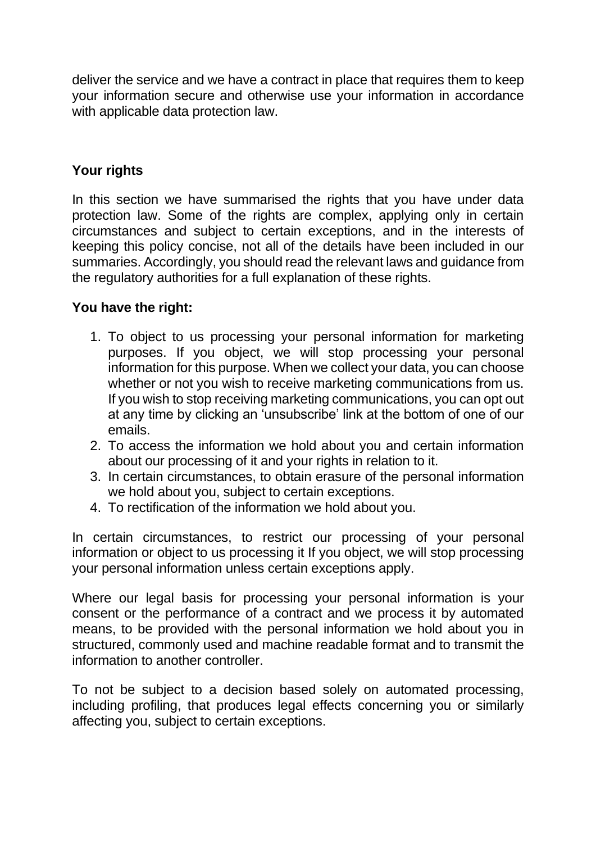deliver the service and we have a contract in place that requires them to keep your information secure and otherwise use your information in accordance with applicable data protection law.

# **Your rights**

In this section we have summarised the rights that you have under data protection law. Some of the rights are complex, applying only in certain circumstances and subject to certain exceptions, and in the interests of keeping this policy concise, not all of the details have been included in our summaries. Accordingly, you should read the relevant laws and guidance from the regulatory authorities for a full explanation of these rights.

# **You have the right:**

- 1. To object to us processing your personal information for marketing purposes. If you object, we will stop processing your personal information for this purpose. When we collect your data, you can choose whether or not you wish to receive marketing communications from us. If you wish to stop receiving marketing communications, you can opt out at any time by clicking an 'unsubscribe' link at the bottom of one of our emails.
- 2. To access the information we hold about you and certain information about our processing of it and your rights in relation to it.
- 3. In certain circumstances, to obtain erasure of the personal information we hold about you, subject to certain exceptions.
- 4. To rectification of the information we hold about you.

In certain circumstances, to restrict our processing of your personal information or object to us processing it If you object, we will stop processing your personal information unless certain exceptions apply.

Where our legal basis for processing your personal information is your consent or the performance of a contract and we process it by automated means, to be provided with the personal information we hold about you in structured, commonly used and machine readable format and to transmit the information to another controller.

To not be subject to a decision based solely on automated processing, including profiling, that produces legal effects concerning you or similarly affecting you, subject to certain exceptions.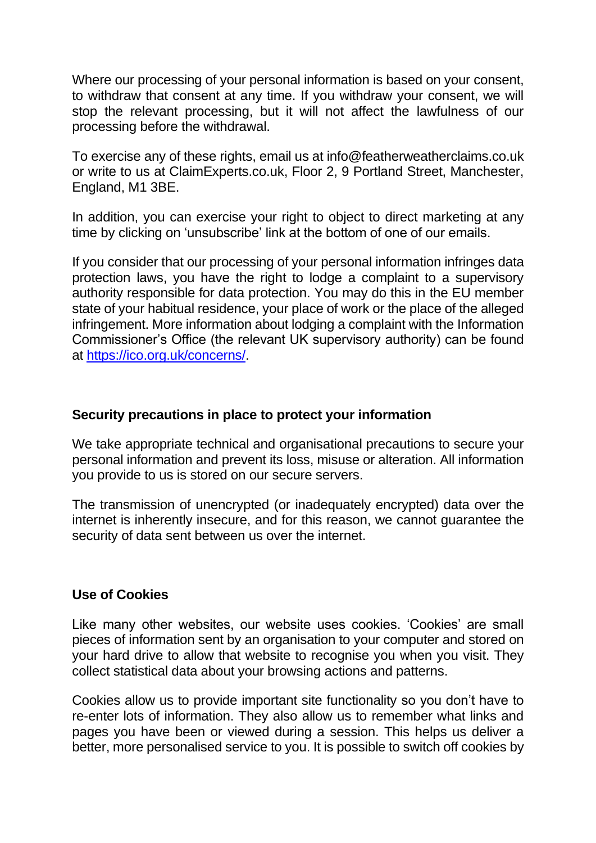Where our processing of your personal information is based on your consent, to withdraw that consent at any time. If you withdraw your consent, we will stop the relevant processing, but it will not affect the lawfulness of our processing before the withdrawal.

To exercise any of these rights, email us at info@featherweatherclaims.co.uk or write to us at ClaimExperts.co.uk, Floor 2, 9 Portland Street, Manchester, England, M1 3BE.

In addition, you can exercise your right to object to direct marketing at any time by clicking on 'unsubscribe' link at the bottom of one of our emails.

If you consider that our processing of your personal information infringes data protection laws, you have the right to lodge a complaint to a supervisory authority responsible for data protection. You may do this in the EU member state of your habitual residence, your place of work or the place of the alleged infringement. More information about lodging a complaint with the Information Commissioner's Office (the relevant UK supervisory authority) can be found at [https://ico.org.uk/concerns/.](https://ico.org.uk/concerns/)

#### **Security precautions in place to protect your information**

We take appropriate technical and organisational precautions to secure your personal information and prevent its loss, misuse or alteration. All information you provide to us is stored on our secure servers.

The transmission of unencrypted (or inadequately encrypted) data over the internet is inherently insecure, and for this reason, we cannot guarantee the security of data sent between us over the internet.

## **Use of Cookies**

Like many other websites, our website uses cookies. 'Cookies' are small pieces of information sent by an organisation to your computer and stored on your hard drive to allow that website to recognise you when you visit. They collect statistical data about your browsing actions and patterns.

Cookies allow us to provide important site functionality so you don't have to re-enter lots of information. They also allow us to remember what links and pages you have been or viewed during a session. This helps us deliver a better, more personalised service to you. It is possible to switch off cookies by